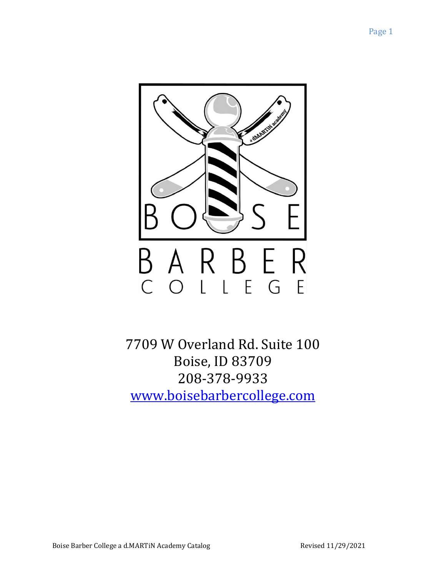

7709 W Overland Rd. Suite 100 Boise, ID 83709 208-378-9933 [www.boisebarbercollege.com](http://www.boisebarbercollege.com/)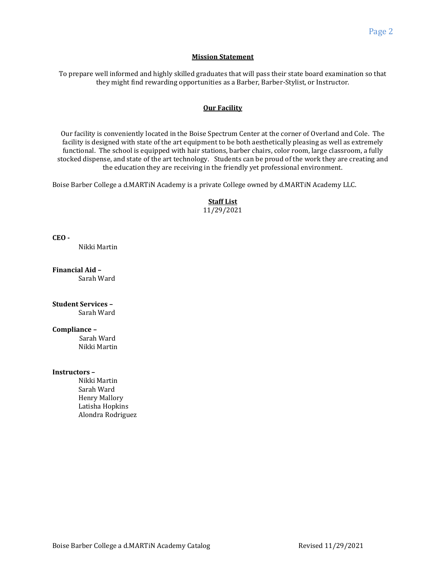### **Mission Statement**

To prepare well informed and highly skilled graduates that will pass their state board examination so that they might find rewarding opportunities as a Barber, Barber-Stylist, or Instructor.

# **Our Facility**

Our facility is conveniently located in the Boise Spectrum Center at the corner of Overland and Cole. The facility is designed with state of the art equipment to be both aesthetically pleasing as well as extremely functional. The school is equipped with hair stations, barber chairs, color room, large classroom, a fully stocked dispense, and state of the art technology. Students can be proud of the work they are creating and the education they are receiving in the friendly yet professional environment.

Boise Barber College a d.MARTiN Academy is a private College owned by d.MARTiN Academy LLC.

**Staff List** 11/29/2021

**CEO -** 

Nikki Martin

**Financial Aid –** Sarah Ward

**Student Services –** Sarah Ward

**Compliance –**

Sarah Ward Nikki Martin

#### **Instructors –**

Nikki Martin Sarah Ward Henry Mallory Latisha Hopkins Alondra Rodriguez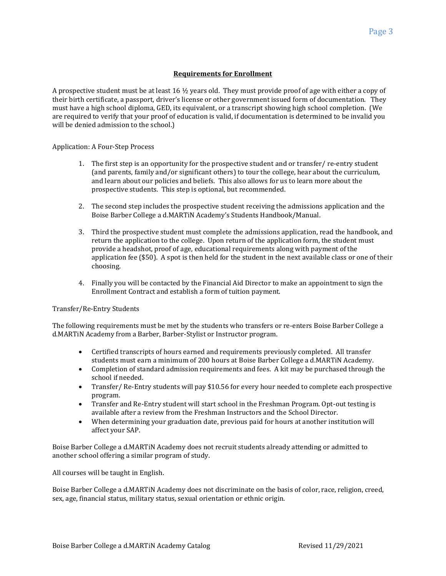# **Requirements for Enrollment**

A prospective student must be at least 16  $\frac{1}{2}$  years old. They must provide proof of age with either a copy of their birth certificate, a passport, driver's license or other government issued form of documentation. They must have a high school diploma, GED, its equivalent, or a transcript showing high school completion. (We are required to verify that your proof of education is valid, if documentation is determined to be invalid you will be denied admission to the school.)

Application: A Four-Step Process

- 1. The first step is an opportunity for the prospective student and or transfer/ re-entry student (and parents, family and/or significant others) to tour the college, hear about the curriculum, and learn about our policies and beliefs. This also allows for us to learn more about the prospective students. This step is optional, but recommended.
- 2. The second step includes the prospective student receiving the admissions application and the Boise Barber College a d.MARTiN Academy's Students Handbook/Manual.
- 3. Third the prospective student must complete the admissions application, read the handbook, and return the application to the college. Upon return of the application form, the student must provide a headshot, proof of age, educational requirements along with payment of the application fee (\$50). A spot is then held for the student in the next available class or one of their choosing.
- 4. Finally you will be contacted by the Financial Aid Director to make an appointment to sign the Enrollment Contract and establish a form of tuition payment.

#### Transfer/Re-Entry Students

The following requirements must be met by the students who transfers or re-enters Boise Barber College a d.MARTiN Academy from a Barber, Barber-Stylist or Instructor program.

- Certified transcripts of hours earned and requirements previously completed. All transfer students must earn a minimum of 200 hours at Boise Barber College a d.MARTiN Academy.
- Completion of standard admission requirements and fees. A kit may be purchased through the school if needed.
- Transfer/ Re-Entry students will pay \$10.56 for every hour needed to complete each prospective program.
- Transfer and Re-Entry student will start school in the Freshman Program. Opt-out testing is available after a review from the Freshman Instructors and the School Director.
- When determining your graduation date, previous paid for hours at another institution will affect your SAP.

Boise Barber College a d.MARTiN Academy does not recruit students already attending or admitted to another school offering a similar program of study.

All courses will be taught in English.

Boise Barber College a d.MARTiN Academy does not discriminate on the basis of color, race, religion, creed, sex, age, financial status, military status, sexual orientation or ethnic origin.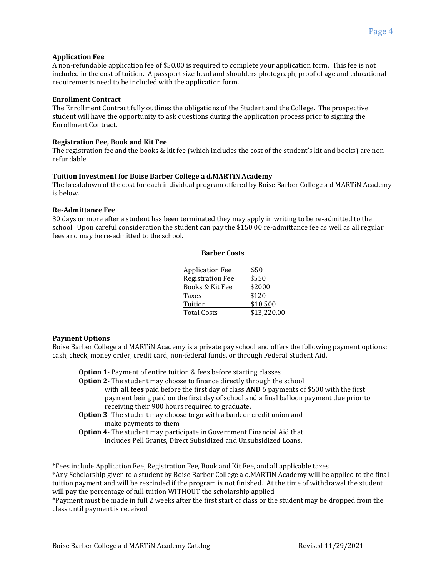### **Application Fee**

A non-refundable application fee of \$50.00 is required to complete your application form. This fee is not included in the cost of tuition. A passport size head and shoulders photograph, proof of age and educational requirements need to be included with the application form.

### **Enrollment Contract**

The Enrollment Contract fully outlines the obligations of the Student and the College. The prospective student will have the opportunity to ask questions during the application process prior to signing the Enrollment Contract.

### **Registration Fee, Book and Kit Fee**

The registration fee and the books & kit fee (which includes the cost of the student's kit and books) are nonrefundable.

### **Tuition Investment for Boise Barber College a d.MARTiN Academy**

The breakdown of the cost for each individual program offered by Boise Barber College a d.MARTiN Academy is below.

# **Re-Admittance Fee**

30 days or more after a student has been terminated they may apply in writing to be re-admitted to the school. Upon careful consideration the student can pay the \$150.00 re-admittance fee as well as all regular fees and may be re-admitted to the school.

### **Barber Costs**

| <b>Application Fee</b>  | \$50        |
|-------------------------|-------------|
| <b>Registration Fee</b> | \$550       |
| Books & Kit Fee         | \$2000      |
| Taxes                   | \$120       |
| Tuition                 | \$10,500    |
| <b>Total Costs</b>      | \$13,220.00 |

# **Payment Options**

Boise Barber College a d.MARTiN Academy is a private pay school and offers the following payment options: cash, check, money order, credit card, non-federal funds, or through Federal Student Aid.

**Option 1**- Payment of entire tuition & fees before starting classes

- **Option 2** The student may choose to finance directly through the school
	- with **all fees** paid before the first day of class **AND** 6 payments of \$500 with the first payment being paid on the first day of school and a final balloon payment due prior to receiving their 900 hours required to graduate.
- **Option 3** The student may choose to go with a bank or credit union and make payments to them.
- **Option 4** The student may participate in Government Financial Aid that includes Pell Grants, Direct Subsidized and Unsubsidized Loans.

\*Fees include Application Fee, Registration Fee, Book and Kit Fee, and all applicable taxes.

\*Any Scholarship given to a student by Boise Barber College a d.MARTiN Academy will be applied to the final tuition payment and will be rescinded if the program is not finished. At the time of withdrawal the student will pay the percentage of full tuition WITHOUT the scholarship applied.

\*Payment must be made in full 2 weeks after the first start of class or the student may be dropped from the class until payment is received.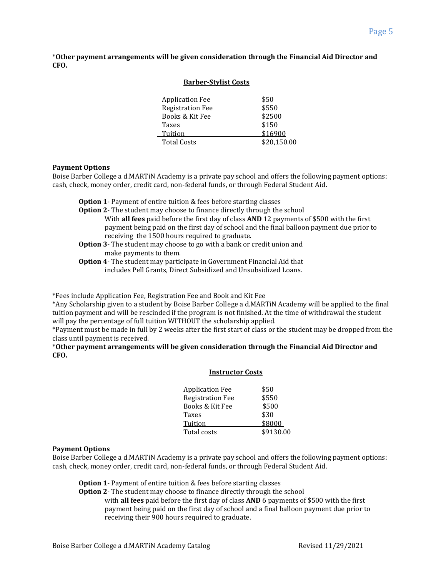\***Other payment arrangements will be given consideration through the Financial Aid Director and CFO.**

**Barber-Stylist Costs**

| <b>Dal Del Devilue Gooto</b> |             |
|------------------------------|-------------|
|                              |             |
| <b>Application Fee</b>       | \$50        |
| <b>Registration Fee</b>      | \$550       |
| Books & Kit Fee              | \$2500      |
| Taxes                        | \$150       |
| Tuition                      | \$16900     |
| <b>Total Costs</b>           | \$20,150.00 |
|                              |             |

### **Payment Options**

Boise Barber College a d.MARTiN Academy is a private pay school and offers the following payment options: cash, check, money order, credit card, non-federal funds, or through Federal Student Aid.

- **Option 1** Payment of entire tuition & fees before starting classes
- **Option 2** The student may choose to finance directly through the school With **all fees** paid before the first day of class **AND** 12 payments of \$500 with the first payment being paid on the first day of school and the final balloon payment due prior to receiving the 1500 hours required to graduate.
- **Option 3** The student may choose to go with a bank or credit union and make payments to them.
- **Option 4** The student may participate in Government Financial Aid that includes Pell Grants, Direct Subsidized and Unsubsidized Loans.

\*Fees include Application Fee, Registration Fee and Book and Kit Fee

\*Any Scholarship given to a student by Boise Barber College a d.MARTiN Academy will be applied to the final tuition payment and will be rescinded if the program is not finished. At the time of withdrawal the student will pay the percentage of full tuition WITHOUT the scholarship applied.

\*Payment must be made in full by 2 weeks after the first start of class or the student may be dropped from the class until payment is received.

\***Other payment arrangements will be given consideration through the Financial Aid Director and CFO.**

#### **Instructor Costs**

| \$50      |
|-----------|
| \$550     |
| \$500     |
| \$30      |
| \$8000    |
| \$9130.00 |
|           |

#### **Payment Options**

Boise Barber College a d.MARTiN Academy is a private pay school and offers the following payment options: cash, check, money order, credit card, non-federal funds, or through Federal Student Aid.

**Option 1**- Payment of entire tuition & fees before starting classes

**Option 2**- The student may choose to finance directly through the school

with **all fees** paid before the first day of class **AND** 6 payments of \$500 with the first payment being paid on the first day of school and a final balloon payment due prior to receiving their 900 hours required to graduate.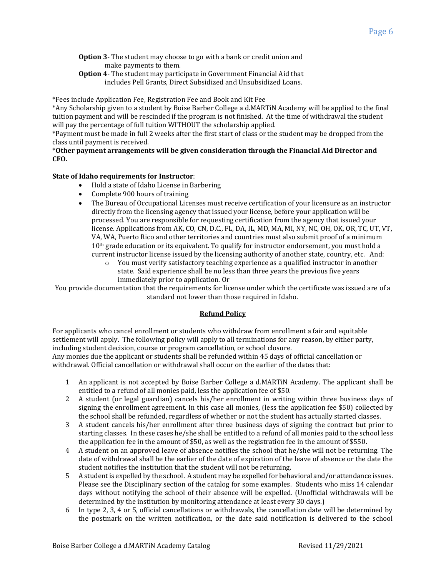- **Option 3** The student may choose to go with a bank or credit union and make payments to them.
- **Option 4** The student may participate in Government Financial Aid that includes Pell Grants, Direct Subsidized and Unsubsidized Loans.

\*Fees include Application Fee, Registration Fee and Book and Kit Fee

\*Any Scholarship given to a student by Boise Barber College a d.MARTiN Academy will be applied to the final tuition payment and will be rescinded if the program is not finished. At the time of withdrawal the student will pay the percentage of full tuition WITHOUT the scholarship applied.

\*Payment must be made in full 2 weeks after the first start of class or the student may be dropped from the class until payment is received.

# \***Other payment arrangements will be given consideration through the Financial Aid Director and CFO.**

# **State of Idaho requirements for Instructor**:

- Hold a state of Idaho License in Barbering
- Complete 900 hours of training
- The Bureau of Occupational Licenses must receive certification of your licensure as an instructor directly from the licensing agency that issued your license, before your application will be processed. You are responsible for requesting certification from the agency that issued your license. Applications from AK, CO, CN, D.C., FL, DA, IL, MD, MA, MI, NY, NC, OH, OK, OR, TC, UT, VT, VA, WA, Puerto Rico and other territories and countries must also submit proof of a minimum 10<sup>th</sup> grade education or its equivalent. To qualify for instructor endorsement, you must hold a current instructor license issued by the licensing authority of another state, country, etc. And:
	- $\circ$  You must verify satisfactory teaching experience as a qualified instructor in another state. Said experience shall be no less than three years the previous five years immediately prior to application. Or

You provide documentation that the requirements for license under which the certificate was issued are of a standard not lower than those required in Idaho.

# **Refund Policy**

For applicants who cancel enrollment or students who withdraw from enrollment a fair and equitable settlement will apply. The following policy will apply to all terminations for any reason, by either party, including student decision, course or program cancellation, or school closure.

Any monies due the applicant or students shall be refunded within 45 days of official cancellation or withdrawal. Official cancellation or withdrawal shall occur on the earlier of the dates that:

- 1 An applicant is not accepted by Boise Barber College a d.MARTiN Academy. The applicant shall be entitled to a refund of all monies paid, less the application fee of \$50.
- 2 A student (or legal guardian) cancels his/her enrollment in writing within three business days of signing the enrollment agreement. In this case all monies, (less the application fee \$50) collected by the school shall be refunded, regardless of whether or not the student has actually started classes.
- 3 A student cancels his/her enrollment after three business days of signing the contract but prior to starting classes. In these cases he/she shall be entitled to a refund of all monies paid to the school less the application fee in the amount of \$50, as well as the registration fee in the amount of \$550.
- 4 A student on an approved leave of absence notifies the school that he/she will not be returning. The date of withdrawal shall be the earlier of the date of expiration of the leave of absence or the date the student notifies the institution that the student will not be returning.
- 5 A student is expelled by the school. A student may be expelled for behavioral and/or attendance issues. Please see the Disciplinary section of the catalog for some examples. Students who miss 14 calendar days without notifying the school of their absence will be expelled. (Unofficial withdrawals will be determined by the institution by monitoring attendance at least every 30 days.)
- 6 In type 2, 3, 4 or 5, official cancellations or withdrawals, the cancellation date will be determined by the postmark on the written notification, or the date said notification is delivered to the school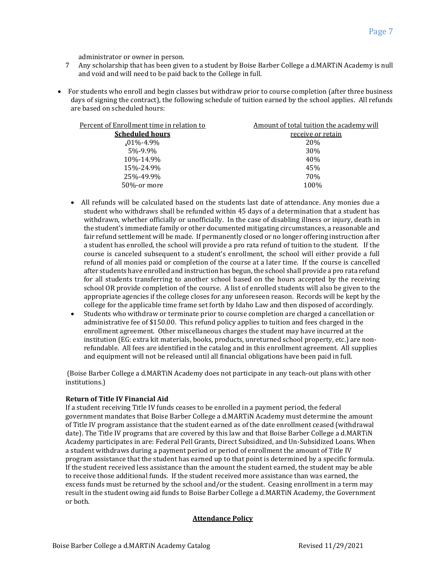administrator or owner in person.

- 7 Any scholarship that has been given to a student by Boise Barber College a d.MARTiN Academy is null and void and will need to be paid back to the College in full.
- For students who enroll and begin classes but withdraw prior to course completion (after three business days of signing the contract), the following schedule of tuition earned by the school applies. All refunds are based on scheduled hours:

| Percent of Enrollment time in relation to | Amount of total tuition the academy will |
|-------------------------------------------|------------------------------------------|
| <b>Scheduled hours</b>                    | receive or retain                        |
| $.01\% - 4.9\%$                           | 20%                                      |
| $5% -9.9%$                                | <b>30%</b>                               |
| 10%-14.9%                                 | 40%                                      |
| 15%-24.9%                                 | 45%                                      |
| 25%-49.9%                                 | 70%                                      |
| 50%-or more                               | 100%                                     |
|                                           |                                          |

- All refunds will be calculated based on the students last date of attendance. Any monies due a student who withdraws shall be refunded within 45 days of a determination that a student has withdrawn, whether officially or unofficially. In the case of disabling illness or injury, death in the student's immediate family or other documented mitigating circumstances, a reasonable and fair refund settlement will be made. If permanently closed or no longer offering instruction after a student has enrolled, the school will provide a pro rata refund of tuition to the student. If the course is canceled subsequent to a student's enrollment, the school will either provide a full refund of all monies paid or completion of the course at a later time. If the course is cancelled after students have enrolled and instruction has begun, the school shall provide a pro rata refund for all students transferring to another school based on the hours accepted by the receiving school OR provide completion of the course. A list of enrolled students will also be given to the appropriate agencies if the college closes for any unforeseen reason. Records will be kept by the college for the applicable time frame set forth by Idaho Law and then disposed of accordingly.
- Students who withdraw or terminate prior to course completion are charged a cancellation or administrative fee of \$150.00. This refund policy applies to tuition and fees charged in the enrollment agreement. Other miscellaneous charges the student may have incurred at the institution (EG: extra kit materials, books, products, unreturned school property, etc.) are nonrefundable. All fees are identified in the catalog and in this enrollment agreement. All supplies and equipment will not be released until all financial obligations have been paid in full.

(Boise Barber College a d.MARTiN Academy does not participate in any teach-out plans with other institutions.)

# **Return of Title IV Financial Aid**

If a student receiving Title IV funds ceases to be enrolled in a payment period, the federal government mandates that Boise Barber College a d.MARTiN Academy must determine the amount of Title IV program assistance that the student earned as of the date enrollment ceased (withdrawal date). The Title IV programs that are covered by this law and that Boise Barber College a d.MARTiN Academy participates in are: Federal Pell Grants, Direct Subsidized, and Un-Subsidized Loans. When a student withdraws during a payment period or period of enrollment the amount of Title IV program assistance that the student has earned up to that point is determined by a specific formula. If the student received less assistance than the amount the student earned, the student may be able to receive those additional funds. If the student received more assistance than was earned, the excess funds must be returned by the school and/or the student. Ceasing enrollment in a term may result in the student owing aid funds to Boise Barber College a d.MARTiN Academy, the Government or both.

# **Attendance Policy**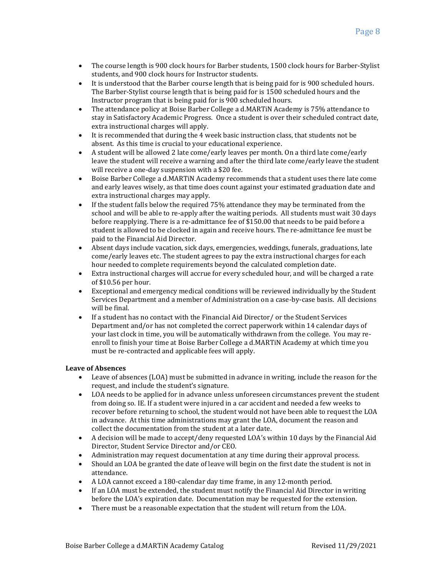- The course length is 900 clock hours for Barber students, 1500 clock hours for Barber-Stylist students, and 900 clock hours for Instructor students.
- It is understood that the Barber course length that is being paid for is 900 scheduled hours. The Barber-Stylist course length that is being paid for is 1500 scheduled hours and the Instructor program that is being paid for is 900 scheduled hours.
- The attendance policy at Boise Barber College a d.MARTiN Academy is 75% attendance to stay in Satisfactory Academic Progress. Once a student is over their scheduled contract date, extra instructional charges will apply.
- It is recommended that during the 4 week basic instruction class, that students not be absent. As this time is crucial to your educational experience.
- A student will be allowed 2 late come/early leaves per month. On a third late come/early leave the student will receive a warning and after the third late come/early leave the student will receive a one-day suspension with a \$20 fee.
- Boise Barber College a d.MARTiN Academy recommends that a student uses there late come and early leaves wisely, as that time does count against your estimated graduation date and extra instructional charges may apply.
- If the student falls below the required 75% attendance they may be terminated from the school and will be able to re-apply after the waiting periods. All students must wait 30 days before reapplying. There is a re-admittance fee of \$150.00 that needs to be paid before a student is allowed to be clocked in again and receive hours. The re-admittance fee must be paid to the Financial Aid Director.
- Absent days include vacation, sick days, emergencies, weddings, funerals, graduations, late come/early leaves etc. The student agrees to pay the extra instructional charges for each hour needed to complete requirements beyond the calculated completion date.
- Extra instructional charges will accrue for every scheduled hour, and will be charged a rate of \$10.56 per hour.
- Exceptional and emergency medical conditions will be reviewed individually by the Student Services Department and a member of Administration on a case-by-case basis. All decisions will be final
- If a student has no contact with the Financial Aid Director/ or the Student Services Department and/or has not completed the correct paperwork within 14 calendar days of your last clock in time, you will be automatically withdrawn from the college. You may reenroll to finish your time at Boise Barber College a d.MARTiN Academy at which time you must be re-contracted and applicable fees will apply.

# **Leave of Absences**

- Leave of absences (LOA) must be submitted in advance in writing, include the reason for the request, and include the student's signature.
- LOA needs to be applied for in advance unless unforeseen circumstances prevent the student from doing so. IE. If a student were injured in a car accident and needed a few weeks to recover before returning to school, the student would not have been able to request the LOA in advance. At this time administrations may grant the LOA, document the reason and collect the documentation from the student at a later date.
- A decision will be made to accept/deny requested LOA's within 10 days by the Financial Aid Director, Student Service Director and/or CEO.
- Administration may request documentation at any time during their approval process.
- Should an LOA be granted the date of leave will begin on the first date the student is not in attendance.
- A LOA cannot exceed a 180-calendar day time frame, in any 12-month period.
- If an LOA must be extended, the student must notify the Financial Aid Director in writing before the LOA's expiration date. Documentation may be requested for the extension.
- There must be a reasonable expectation that the student will return from the LOA.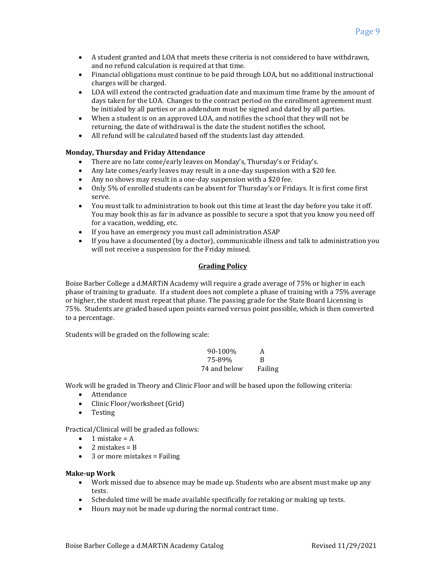- A student granted and LOA that meets these criteria is not considered to have withdrawn, and no refund calculation is required at that time.
- Financial obligations must continue to be paid through LOA, but no additional instructional charges will be charged.
- LOA will extend the contracted graduation date and maximum time frame by the amount of days taken for the LOA. Changes to the contract period on the enrollment agreement must be initialed by all parties or an addendum must be signed and dated by all parties.
- When a student is on an approved LOA, and notifies the school that they will not be returning, the date of withdrawal is the date the student notifies the school.
- All refund will be calculated based off the students last day attended.

# **Monday, Thursday and Friday Attendance**

- There are no late come/early leaves on Monday's, Thursday's or Friday's.
- Any late comes/early leaves may result in a one-day suspension with a \$20 fee.
- Any no shows may result in a one-day suspension with a \$20 fee.
- Only 5% of enrolled students can be absent for Thursday's or Fridays. It is first come first serve.
- You must talk to administration to book out this time at least the day before you take it off. You may book this as far in advance as possible to secure a spot that you know you need off for a vacation, wedding, etc.
- If you have an emergency you must call administration ASAP
- If you have a documented (by a doctor), communicable illness and talk to administration you will not receive a suspension for the Friday missed.

# **Grading Policy**

Boise Barber College a d.MARTiN Academy will require a grade average of 75% or higher in each phase of training to graduate. If a student does not complete a phase of training with a 75% average or higher, the student must repeat that phase. The passing grade for the State Board Licensing is 75%. Students are graded based upon points earned versus point possible, which is then converted to a percentage.

Students will be graded on the following scale:

90-100% A 75-89% B 74 and below Failing

Work will be graded in Theory and Clinic Floor and will be based upon the following criteria:

- Attendance
- Clinic Floor/worksheet (Grid)
- Testing

Practical/Clinical will be graded as follows:

- $\bullet$  1 mistake = A
- 2 mistakes = B
- 3 or more mistakes = Failing

# **Make-up Work**

- Work missed due to absence may be made up. Students who are absent must make up any tests.
- Scheduled time will be made available specifically for retaking or making up tests.
- Hours may not be made up during the normal contract time.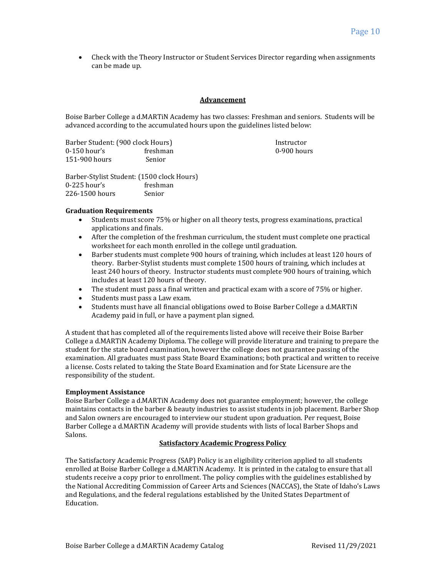• Check with the Theory Instructor or Student Services Director regarding when assignments can be made up.

### **Advancement**

Boise Barber College a d.MARTiN Academy has two classes: Freshman and seniors. Students will be advanced according to the accumulated hours upon the guidelines listed below:

Barber Student: (900 clock Hours) Instructor 0-150 hour's freshman control of the control of the control of the control of the control of the control of the control of the control of the control of the control of the control of the control of the control of the contr 151-900 hours Senior

Barber-Stylist Student: (1500 clock Hours) 0-225 hour's freshman 226-1500 hours Senior

### **Graduation Requirements**

- Students must score 75% or higher on all theory tests, progress examinations, practical applications and finals.
- After the completion of the freshman curriculum, the student must complete one practical worksheet for each month enrolled in the college until graduation.
- Barber students must complete 900 hours of training, which includes at least 120 hours of theory. Barber-Stylist students must complete 1500 hours of training, which includes at least 240 hours of theory. Instructor students must complete 900 hours of training, which includes at least 120 hours of theory.
- The student must pass a final written and practical exam with a score of 75% or higher.
- Students must pass a Law exam.
- Students must have all financial obligations owed to Boise Barber College a d.MARTiN Academy paid in full, or have a payment plan signed.

A student that has completed all of the requirements listed above will receive their Boise Barber College a d.MARTiN Academy Diploma. The college will provide literature and training to prepare the student for the state board examination, however the college does not guarantee passing of the examination. All graduates must pass State Board Examinations; both practical and written to receive a license. Costs related to taking the State Board Examination and for State Licensure are the responsibility of the student.

# **Employment Assistance**

Boise Barber College a d.MARTiN Academy does not guarantee employment; however, the college maintains contacts in the barber & beauty industries to assist students in job placement. Barber Shop and Salon owners are encouraged to interview our student upon graduation. Per request, Boise Barber College a d.MARTiN Academy will provide students with lists of local Barber Shops and Salons.

# **Satisfactory Academic Progress Policy**

The Satisfactory Academic Progress (SAP) Policy is an eligibility criterion applied to all students enrolled at Boise Barber College a d.MARTiN Academy. It is printed in the catalog to ensure that all students receive a copy prior to enrollment. The policy complies with the guidelines established by the National Accrediting Commission of Career Arts and Sciences (NACCAS), the State of Idaho's Laws and Regulations, and the federal regulations established by the United States Department of Education.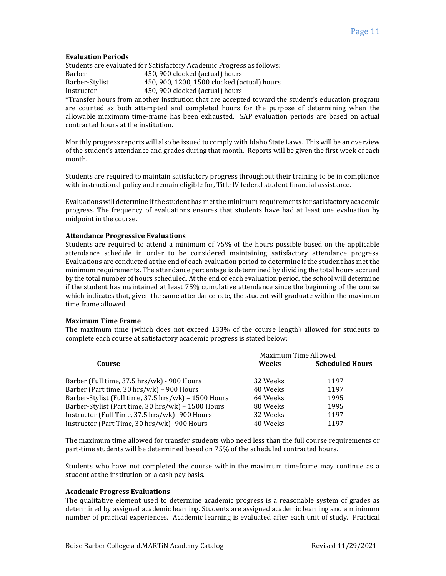### **Evaluation Periods**

Students are evaluated for Satisfactory Academic Progress as follows: Barber 450, 900 clocked (actual) hours Barber-Stylist 450, 900, 1200, 1500 clocked (actual) hours Instructor 450, 900 clocked (actual) hours

\*Transfer hours from another institution that are accepted toward the student's education program are counted as both attempted and completed hours for the purpose of determining when the allowable maximum time-frame has been exhausted. SAP evaluation periods are based on actual contracted hours at the institution.

Monthly progress reports will also be issued to comply with Idaho State Laws. This will be an overview of the student's attendance and grades during that month. Reports will be given the first week of each month.

Students are required to maintain satisfactory progress throughout their training to be in compliance with instructional policy and remain eligible for, Title IV federal student financial assistance.

Evaluations will determine if the student has met the minimum requirements for satisfactory academic progress. The frequency of evaluations ensures that students have had at least one evaluation by midpoint in the course.

### **Attendance Progressive Evaluations**

Students are required to attend a minimum of 75% of the hours possible based on the applicable attendance schedule in order to be considered maintaining satisfactory attendance progress. Evaluations are conducted at the end of each evaluation period to determine if the student has met the minimum requirements. The attendance percentage is determined by dividing the total hours accrued by the total number of hours scheduled. At the end of each evaluation period, the school will determine if the student has maintained at least 75% cumulative attendance since the beginning of the course which indicates that, given the same attendance rate, the student will graduate within the maximum time frame allowed.

#### **Maximum Time Frame**

The maximum time (which does not exceed 133% of the course length) allowed for students to complete each course at satisfactory academic progress is stated below:

| Course                                               | Maximum Time Allowed |                        |
|------------------------------------------------------|----------------------|------------------------|
|                                                      | Weeks                | <b>Scheduled Hours</b> |
| Barber (Full time, 37.5 hrs/wk) - 900 Hours          | 32 Weeks             | 1197                   |
| Barber (Part time, 30 hrs/wk) - 900 Hours            | 40 Weeks             | 1197                   |
| Barber-Stylist (Full time, 37.5 hrs/wk) - 1500 Hours | 64 Weeks             | 1995                   |
| Barber-Stylist (Part time, 30 hrs/wk) - 1500 Hours   | 80 Weeks             | 1995                   |
| Instructor (Full Time, 37.5 hrs/wk) -900 Hours       | 32 Weeks             | 1197                   |
| Instructor (Part Time, 30 hrs/wk) -900 Hours         | 40 Weeks             | 1197                   |

The maximum time allowed for transfer students who need less than the full course requirements or part-time students will be determined based on 75% of the scheduled contracted hours.

Students who have not completed the course within the maximum timeframe may continue as a student at the institution on a cash pay basis.

# **Academic Progress Evaluations**

The qualitative element used to determine academic progress is a reasonable system of grades as determined by assigned academic learning. Students are assigned academic learning and a minimum number of practical experiences. Academic learning is evaluated after each unit of study. Practical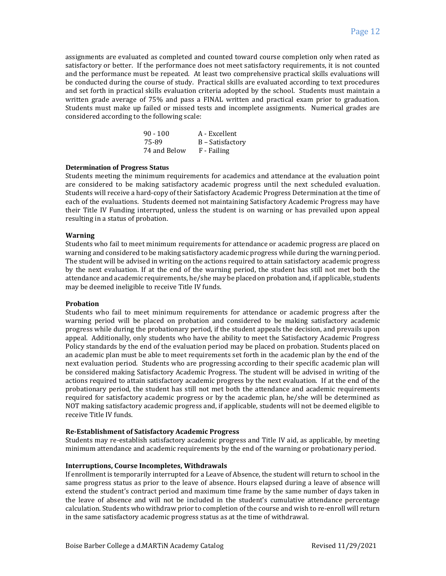assignments are evaluated as completed and counted toward course completion only when rated as satisfactory or better. If the performance does not meet satisfactory requirements, it is not counted and the performance must be repeated. At least two comprehensive practical skills evaluations will be conducted during the course of study. Practical skills are evaluated according to text procedures and set forth in practical skills evaluation criteria adopted by the school. Students must maintain a written grade average of 75% and pass a FINAL written and practical exam prior to graduation. Students must make up failed or missed tests and incomplete assignments. Numerical grades are considered according to the following scale:

| $90 - 100$   | A - Excellent    |
|--------------|------------------|
| 75-89        | B – Satisfactory |
| 74 and Below | F - Failing      |

# **Determination of Progress Status**

Students meeting the minimum requirements for academics and attendance at the evaluation point are considered to be making satisfactory academic progress until the next scheduled evaluation. Students will receive a hard-copy of their Satisfactory Academic Progress Determination at the time of each of the evaluations. Students deemed not maintaining Satisfactory Academic Progress may have their Title IV Funding interrupted, unless the student is on warning or has prevailed upon appeal resulting in a status of probation.

### **Warning**

Students who fail to meet minimum requirements for attendance or academic progress are placed on warning and considered to be making satisfactory academic progress while during the warning period. The student will be advised in writing on the actions required to attain satisfactory academic progress by the next evaluation. If at the end of the warning period, the student has still not met both the attendance and academic requirements, he/she may be placed on probation and, if applicable, students may be deemed ineligible to receive Title IV funds.

#### **Probation**

Students who fail to meet minimum requirements for attendance or academic progress after the warning period will be placed on probation and considered to be making satisfactory academic progress while during the probationary period, if the student appeals the decision, and prevails upon appeal. Additionally, only students who have the ability to meet the Satisfactory Academic Progress Policy standards by the end of the evaluation period may be placed on probation. Students placed on an academic plan must be able to meet requirements set forth in the academic plan by the end of the next evaluation period. Students who are progressing according to their specific academic plan will be considered making Satisfactory Academic Progress. The student will be advised in writing of the actions required to attain satisfactory academic progress by the next evaluation. If at the end of the probationary period, the student has still not met both the attendance and academic requirements required for satisfactory academic progress or by the academic plan, he/she will be determined as NOT making satisfactory academic progress and, if applicable, students will not be deemed eligible to receive Title IV funds.

#### **Re-Establishment of Satisfactory Academic Progress**

Students may re-establish satisfactory academic progress and Title IV aid, as applicable, by meeting minimum attendance and academic requirements by the end of the warning or probationary period.

### **Interruptions, Course Incompletes, Withdrawals**

If enrollment is temporarily interrupted for a Leave of Absence, the student will return to school in the same progress status as prior to the leave of absence. Hours elapsed during a leave of absence will extend the student's contract period and maximum time frame by the same number of days taken in the leave of absence and will not be included in the student's cumulative attendance percentage calculation. Students who withdraw prior to completion of the course and wish to re-enroll will return in the same satisfactory academic progress status as at the time of withdrawal.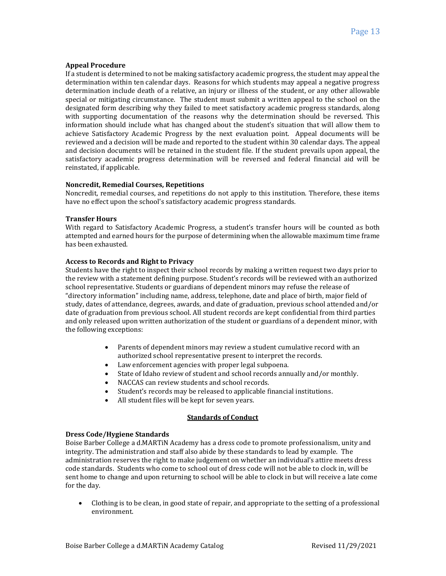# **Appeal Procedure**

If a student is determined to not be making satisfactory academic progress, the student may appeal the determination within ten calendar days. Reasons for which students may appeal a negative progress determination include death of a relative, an injury or illness of the student, or any other allowable special or mitigating circumstance. The student must submit a written appeal to the school on the designated form describing why they failed to meet satisfactory academic progress standards, along with supporting documentation of the reasons why the determination should be reversed. This information should include what has changed about the student's situation that will allow them to achieve Satisfactory Academic Progress by the next evaluation point. Appeal documents will be reviewed and a decision will be made and reported to the student within 30 calendar days. The appeal and decision documents will be retained in the student file. If the student prevails upon appeal, the satisfactory academic progress determination will be reversed and federal financial aid will be reinstated, if applicable.

# **Noncredit, Remedial Courses, Repetitions**

Noncredit, remedial courses, and repetitions do not apply to this institution. Therefore, these items have no effect upon the school's satisfactory academic progress standards.

# **Transfer Hours**

With regard to Satisfactory Academic Progress, a student's transfer hours will be counted as both attempted and earned hours for the purpose of determining when the allowable maximum time frame has been exhausted.

# **Access to Records and Right to Privacy**

Students have the right to inspect their school records by making a written request two days prior to the review with a statement defining purpose. Student's records will be reviewed with an authorized school representative. Students or guardians of dependent minors may refuse the release of "directory information" including name, address, telephone, date and place of birth, major field of study, dates of attendance, degrees, awards, and date of graduation, previous school attended and/or date of graduation from previous school. All student records are kept confidential from third parties and only released upon written authorization of the student or guardians of a dependent minor, with the following exceptions:

- Parents of dependent minors may review a student cumulative record with an authorized school representative present to interpret the records.
- Law enforcement agencies with proper legal subpoena.
- State of Idaho review of student and school records annually and/or monthly.
- NACCAS can review students and school records.
- Student's records may be released to applicable financial institutions.
- All student files will be kept for seven years.

# **Standards of Conduct**

# **Dress Code/Hygiene Standards**

Boise Barber College a d.MARTiN Academy has a dress code to promote professionalism, unity and integrity. The administration and staff also abide by these standards to lead by example. The administration reserves the right to make judgement on whether an individual's attire meets dress code standards. Students who come to school out of dress code will not be able to clock in, will be sent home to change and upon returning to school will be able to clock in but will receive a late come for the day.

• Clothing is to be clean, in good state of repair, and appropriate to the setting of a professional environment.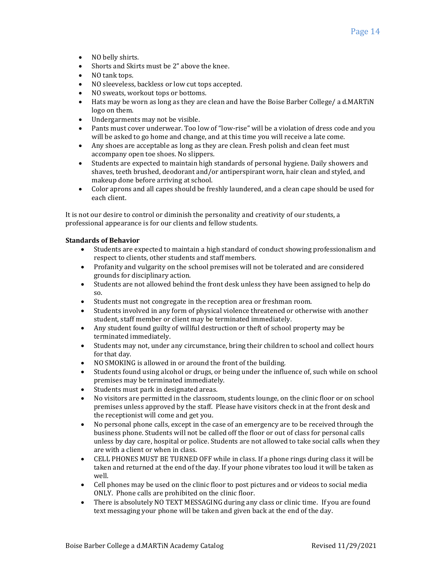- NO belly shirts.
- Shorts and Skirts must be 2" above the knee.
- NO tank tops.
- NO sleeveless, backless or low cut tops accepted.
- NO sweats, workout tops or bottoms.
- Hats may be worn as long as they are clean and have the Boise Barber College/ a d.MARTiN logo on them.
- Undergarments may not be visible.
- Pants must cover underwear. Too low of "low-rise" will be a violation of dress code and you will be asked to go home and change, and at this time you will receive a late come.
- Any shoes are acceptable as long as they are clean. Fresh polish and clean feet must accompany open toe shoes. No slippers.
- Students are expected to maintain high standards of personal hygiene. Daily showers and shaves, teeth brushed, deodorant and/or antiperspirant worn, hair clean and styled, and makeup done before arriving at school.
- Color aprons and all capes should be freshly laundered, and a clean cape should be used for each client.

It is not our desire to control or diminish the personality and creativity of our students, a professional appearance is for our clients and fellow students.

# **Standards of Behavior**

- Students are expected to maintain a high standard of conduct showing professionalism and respect to clients, other students and staff members.
- Profanity and vulgarity on the school premises will not be tolerated and are considered grounds for disciplinary action.
- Students are not allowed behind the front desk unless they have been assigned to help do so.
- Students must not congregate in the reception area or freshman room.
- Students involved in any form of physical violence threatened or otherwise with another student, staff member or client may be terminated immediately.
- Any student found guilty of willful destruction or theft of school property may be terminated immediately.
- Students may not, under any circumstance, bring their children to school and collect hours for that day.
- NO SMOKING is allowed in or around the front of the building.
- Students found using alcohol or drugs, or being under the influence of, such while on school premises may be terminated immediately.
- Students must park in designated areas.
- No visitors are permitted in the classroom, students lounge, on the clinic floor or on school premises unless approved by the staff. Please have visitors check in at the front desk and the receptionist will come and get you.
- No personal phone calls, except in the case of an emergency are to be received through the business phone. Students will not be called off the floor or out of class for personal calls unless by day care, hospital or police. Students are not allowed to take social calls when they are with a client or when in class.
- CELL PHONES MUST BE TURNED OFF while in class. If a phone rings during class it will be taken and returned at the end of the day. If your phone vibrates too loud it will be taken as well.
- Cell phones may be used on the clinic floor to post pictures and or videos to social media ONLY. Phone calls are prohibited on the clinic floor.
- There is absolutely NO TEXT MESSAGING during any class or clinic time. If you are found text messaging your phone will be taken and given back at the end of the day.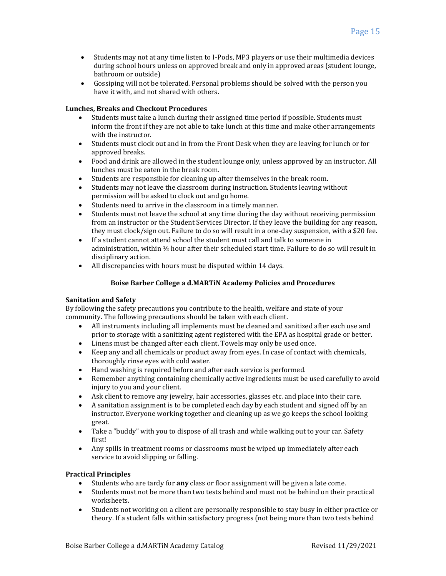- Students may not at any time listen to I-Pods, MP3 players or use their multimedia devices during school hours unless on approved break and only in approved areas (student lounge, bathroom or outside)
- Gossiping will not be tolerated. Personal problems should be solved with the person you have it with, and not shared with others.

# **Lunches, Breaks and Checkout Procedures**

- Students must take a lunch during their assigned time period if possible. Students must inform the front if they are not able to take lunch at this time and make other arrangements with the instructor.
- Students must clock out and in from the Front Desk when they are leaving for lunch or for approved breaks.
- Food and drink are allowed in the student lounge only, unless approved by an instructor. All lunches must be eaten in the break room.
- Students are responsible for cleaning up after themselves in the break room.
- Students may not leave the classroom during instruction. Students leaving without permission will be asked to clock out and go home.
- Students need to arrive in the classroom in a timely manner.
- Students must not leave the school at any time during the day without receiving permission from an instructor or the Student Services Director. If they leave the building for any reason, they must clock/sign out. Failure to do so will result in a one-day suspension, with a \$20 fee.
- If a student cannot attend school the student must call and talk to someone in administration, within ½ hour after their scheduled start time. Failure to do so will result in disciplinary action.
- All discrepancies with hours must be disputed within 14 days.

# **Boise Barber College a d.MARTiN Academy Policies and Procedures**

# **Sanitation and Safety**

By following the safety precautions you contribute to the health, welfare and state of your community. The following precautions should be taken with each client.

- All instruments including all implements must be cleaned and sanitized after each use and prior to storage with a sanitizing agent registered with the EPA as hospital grade or better.
- Linens must be changed after each client. Towels may only be used once.
- Keep any and all chemicals or product away from eyes. In case of contact with chemicals, thoroughly rinse eyes with cold water.
- Hand washing is required before and after each service is performed.
- Remember anything containing chemically active ingredients must be used carefully to avoid injury to you and your client.
- Ask client to remove any jewelry, hair accessories, glasses etc. and place into their care.
- A sanitation assignment is to be completed each day by each student and signed off by an instructor. Everyone working together and cleaning up as we go keeps the school looking great.
- Take a "buddy" with you to dispose of all trash and while walking out to your car. Safety first!
- Any spills in treatment rooms or classrooms must be wiped up immediately after each service to avoid slipping or falling.

# **Practical Principles**

- Students who are tardy for **any** class or floor assignment will be given a late come.
- Students must not be more than two tests behind and must not be behind on their practical worksheets.
- Students not working on a client are personally responsible to stay busy in either practice or theory. If a student falls within satisfactory progress (not being more than two tests behind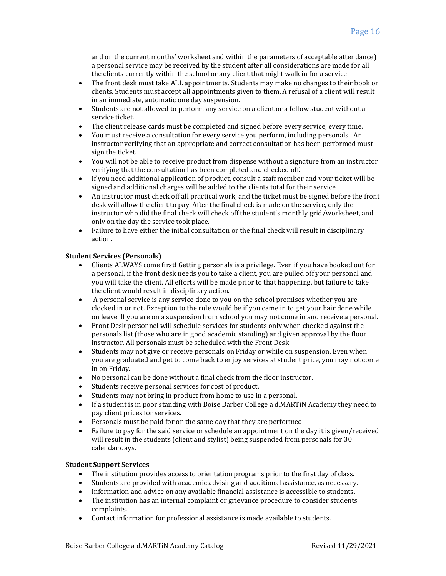and on the current months' worksheet and within the parameters of acceptable attendance) a personal service may be received by the student after all considerations are made for all the clients currently within the school or any client that might walk in for a service.

- The front desk must take ALL appointments. Students may make no changes to their book or clients. Students must accept all appointments given to them. A refusal of a client will result in an immediate, automatic one day suspension.
- Students are not allowed to perform any service on a client or a fellow student without a service ticket.
- The client release cards must be completed and signed before every service, every time.
- You must receive a consultation for every service you perform, including personals. An instructor verifying that an appropriate and correct consultation has been performed must sign the ticket.
- You will not be able to receive product from dispense without a signature from an instructor verifying that the consultation has been completed and checked off.
- If you need additional application of product, consult a staff member and your ticket will be signed and additional charges will be added to the clients total for their service
- An instructor must check off all practical work, and the ticket must be signed before the front desk will allow the client to pay. After the final check is made on the service, only the instructor who did the final check will check off the student's monthly grid/worksheet, and only on the day the service took place.
- Failure to have either the initial consultation or the final check will result in disciplinary action.

# **Student Services (Personals)**

- Clients ALWAYS come first! Getting personals is a privilege. Even if you have booked out for a personal, if the front desk needs you to take a client, you are pulled off your personal and you will take the client. All efforts will be made prior to that happening, but failure to take the client would result in disciplinary action.
- A personal service is any service done to you on the school premises whether you are clocked in or not. Exception to the rule would be if you came in to get your hair done while on leave. If you are on a suspension from school you may not come in and receive a personal.
- Front Desk personnel will schedule services for students only when checked against the personals list (those who are in good academic standing) and given approval by the floor instructor. All personals must be scheduled with the Front Desk.
- Students may not give or receive personals on Friday or while on suspension. Even when you are graduated and get to come back to enjoy services at student price, you may not come in on Friday.
- No personal can be done without a final check from the floor instructor.
- Students receive personal services for cost of product.
- Students may not bring in product from home to use in a personal.
- If a student is in poor standing with Boise Barber College a d.MARTiN Academy they need to pay client prices for services.
- Personals must be paid for on the same day that they are performed.
- Failure to pay for the said service or schedule an appointment on the day it is given/received will result in the students (client and stylist) being suspended from personals for 30 calendar days.

# **Student Support Services**

- The institution provides access to orientation programs prior to the first day of class.
- Students are provided with academic advising and additional assistance, as necessary.
- Information and advice on any available financial assistance is accessible to students.
- The institution has an internal complaint or grievance procedure to consider students complaints.
- Contact information for professional assistance is made available to students.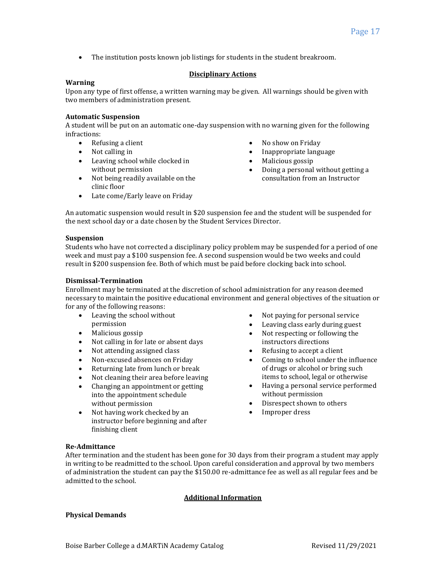• The institution posts known job listings for students in the student breakroom.

# **Disciplinary Actions**

# **Warning**

Upon any type of first offense, a written warning may be given. All warnings should be given with two members of administration present.

### **Automatic Suspension**

A student will be put on an automatic one-day suspension with no warning given for the following infractions:

- Refusing a client
- Not calling in
- Leaving school while clocked in without permission
- Not being readily available on the clinic floor
- Late come/Early leave on Friday
- No show on Friday
- Inappropriate language
- Malicious gossip
- Doing a personal without getting a consultation from an Instructor

An automatic suspension would result in \$20 suspension fee and the student will be suspended for the next school day or a date chosen by the Student Services Director.

# **Suspension**

Students who have not corrected a disciplinary policy problem may be suspended for a period of one week and must pay a \$100 suspension fee. A second suspension would be two weeks and could result in \$200 suspension fee. Both of which must be paid before clocking back into school.

# **Dismissal-Termination**

Enrollment may be terminated at the discretion of school administration for any reason deemed necessary to maintain the positive educational environment and general objectives of the situation or for any of the following reasons:

- Leaving the school without permission
- Malicious gossip
- Not calling in for late or absent days
- Not attending assigned class
- Non-excused absences on Friday
- Returning late from lunch or break
- Not cleaning their area before leaving
- Changing an appointment or getting into the appointment schedule without permission
- Not having work checked by an instructor before beginning and after finishing client
- Not paying for personal service
- Leaving class early during guest
- Not respecting or following the instructors directions
- Refusing to accept a client
- Coming to school under the influence of drugs or alcohol or bring such items to school, legal or otherwise
- Having a personal service performed without permission
- Disrespect shown to others
- Improper dress

# **Re-Admittance**

After termination and the student has been gone for 30 days from their program a student may apply in writing to be readmitted to the school. Upon careful consideration and approval by two members of administration the student can pay the \$150.00 re-admittance fee as well as all regular fees and be admitted to the school.

# **Additional Information**

# **Physical Demands**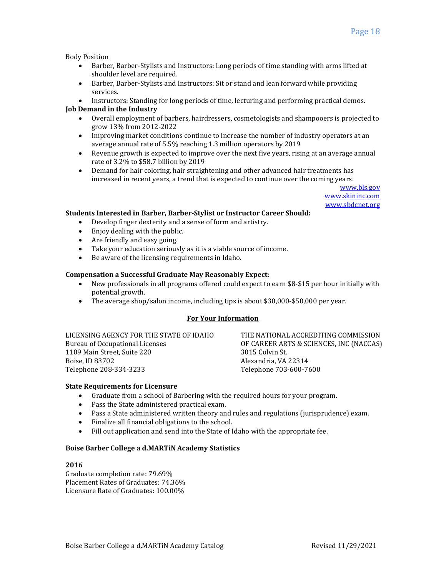Body Position

- Barber, Barber-Stylists and Instructors: Long periods of time standing with arms lifted at shoulder level are required.
- Barber, Barber-Stylists and Instructors: Sit or stand and lean forward while providing services.
- Instructors: Standing for long periods of time, lecturing and performing practical demos.

# **Job Demand in the Industry**

- Overall employment of barbers, hairdressers, cosmetologists and shampooers is projected to grow 13% from 2012-2022
- Improving market conditions continue to increase the number of industry operators at an average annual rate of 5.5% reaching 1.3 million operators by 2019
- Revenue growth is expected to improve over the next five years, rising at an average annual rate of 3.2% to \$58.7 billion by 2019
- Demand for hair coloring, hair straightening and other advanced hair treatments has increased in recent years, a trend that is expected to continue over the coming years.

[www.bls.gov](http://www.bls.gov/) [www.skininc.com](http://www.skininc.com/) [www.sbdcnet.org](http://www.sbdcnet.org/)

# **Students Interested in Barber, Barber-Stylist or Instructor Career Should:**

- Develop finger dexterity and a sense of form and artistry.
- Enjoy dealing with the public.
- Are friendly and easy going.
- Take your education seriously as it is a viable source of income.
- Be aware of the licensing requirements in Idaho.

# **Compensation a Successful Graduate May Reasonably Expect**:

- New professionals in all programs offered could expect to earn \$8-\$15 per hour initially with potential growth.
- The average shop/salon income, including tips is about \$30,000-\$50,000 per year.

# **For Your Information**

LICENSING AGENCY FOR THE STATE OF IDAHO Bureau of Occupational Licenses 1109 Main Street, Suite 220 Boise, ID 83702 Telephone 208-334-3233

OF CAREER ARTS & SCIENCES, INC (NACCAS) 3015 Colvin St. Alexandria, VA 22314 Telephone 703-600-7600

THE NATIONAL ACCREDITING COMMISSION

# **State Requirements for Licensure**

- Graduate from a school of Barbering with the required hours for your program.
- Pass the State administered practical exam.
- Pass a State administered written theory and rules and regulations (jurisprudence) exam.
- Finalize all financial obligations to the school.
- Fill out application and send into the State of Idaho with the appropriate fee.

# **Boise Barber College a d.MARTiN Academy Statistics**

# **2016**

Graduate completion rate: 79.69% Placement Rates of Graduates: 74.36% Licensure Rate of Graduates: 100.00%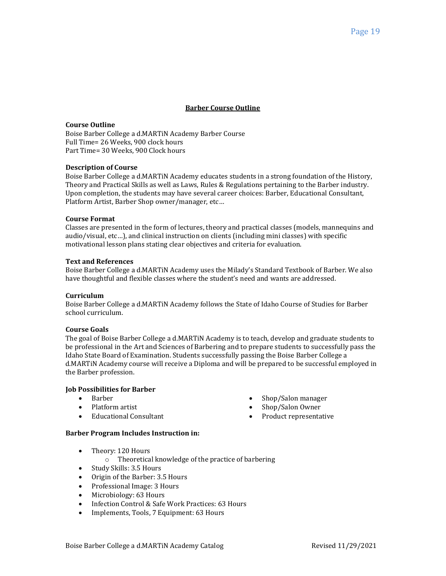# **Barber Course Outline**

### **Course Outline**

Boise Barber College a d.MARTiN Academy Barber Course Full Time= 26 Weeks, 900 clock hours Part Time= 30 Weeks, 900 Clock hours

### **Description of Course**

Boise Barber College a d.MARTiN Academy educates students in a strong foundation of the History, Theory and Practical Skills as well as Laws, Rules & Regulations pertaining to the Barber industry. Upon completion, the students may have several career choices: Barber, Educational Consultant, Platform Artist, Barber Shop owner/manager, etc…

#### **Course Format**

Classes are presented in the form of lectures, theory and practical classes (models, mannequins and audio/visual, etc…), and clinical instruction on clients (including mini classes) with specific motivational lesson plans stating clear objectives and criteria for evaluation.

#### **Text and References**

Boise Barber College a d.MARTiN Academy uses the Milady's Standard Textbook of Barber. We also have thoughtful and flexible classes where the student's need and wants are addressed.

#### **Curriculum**

Boise Barber College a d.MARTiN Academy follows the State of Idaho Course of Studies for Barber school curriculum.

#### **Course Goals**

The goal of Boise Barber College a d.MARTiN Academy is to teach, develop and graduate students to be professional in the Art and Sciences of Barbering and to prepare students to successfully pass the Idaho State Board of Examination. Students successfully passing the Boise Barber College a d.MARTiN Academy course will receive a Diploma and will be prepared to be successful employed in the Barber profession.

# **Job Possibilities for Barber**

- Barber
- Platform artist
- Educational Consultant
- Shop/Salon manager
- Shop/Salon Owner
- Product representative

#### **Barber Program Includes Instruction in:**

- Theory: 120 Hours
	- o Theoretical knowledge of the practice of barbering
- Study Skills: 3.5 Hours
- Origin of the Barber: 3.5 Hours
- Professional Image: 3 Hours
- Microbiology: 63 Hours
- Infection Control & Safe Work Practices: 63 Hours
- Implements, Tools, 7 Equipment: 63 Hours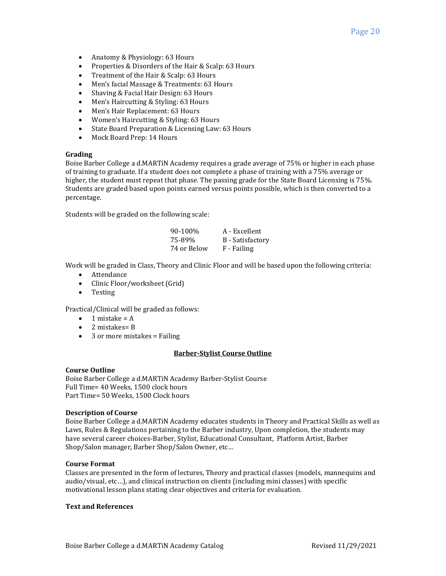- Anatomy & Physiology: 63 Hours
- Properties & Disorders of the Hair & Scalp: 63 Hours
- Treatment of the Hair & Scalp: 63 Hours
- Men's facial Massage & Treatments: 63 Hours
- Shaving & Facial Hair Design: 63 Hours
- Men's Haircutting & Styling: 63 Hours
- Men's Hair Replacement: 63 Hours
- Women's Haircutting & Styling: 63 Hours
- State Board Preparation & Licensing Law: 63 Hours
- Mock Board Prep: 14 Hours

# **Grading**

Boise Barber College a d.MARTiN Academy requires a grade average of 75% or higher in each phase of training to graduate. If a student does not complete a phase of training with a 75% average or higher, the student must repeat that phase. The passing grade for the State Board Licensing is 75%. Students are graded based upon points earned versus points possible, which is then converted to a percentage.

Students will be graded on the following scale:

| 90-100%     | A - Excellent    |
|-------------|------------------|
| 75-89%      | B - Satisfactory |
| 74 or Below | F - Failing      |

Work will be graded in Class, Theory and Clinic Floor and will be based upon the following criteria:

- Attendance
- Clinic Floor/worksheet (Grid)
- Testing

Practical/Clinical will be graded as follows:

- $\bullet$  1 mistake = A
- 2 mistakes= B
- 3 or more mistakes = Failing

# **Barber-Stylist Course Outline**

# **Course Outline**

Boise Barber College a d.MARTiN Academy Barber-Stylist Course Full Time= 40 Weeks, 1500 clock hours Part Time= 50 Weeks, 1500 Clock hours

# **Description of Course**

Boise Barber College a d.MARTiN Academy educates students in Theory and Practical Skills as well as Laws, Rules & Regulations pertaining to the Barber industry, Upon completion, the students may have several career choices-Barber, Stylist, Educational Consultant, Platform Artist, Barber Shop/Salon manager, Barber Shop/Salon Owner, etc…

# **Course Format**

Classes are presented in the form of lectures, Theory and practical classes (models, mannequins and audio/visual, etc…), and clinical instruction on clients (including mini classes) with specific motivational lesson plans stating clear objectives and criteria for evaluation.

# **Text and References**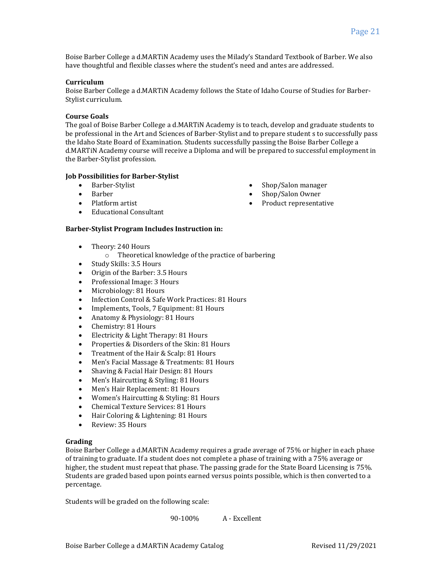Boise Barber College a d.MARTiN Academy uses the Milady's Standard Textbook of Barber. We also have thoughtful and flexible classes where the student's need and antes are addressed.

### **Curriculum**

Boise Barber College a d.MARTiN Academy follows the State of Idaho Course of Studies for Barber-Stylist curriculum.

### **Course Goals**

The goal of Boise Barber College a d.MARTiN Academy is to teach, develop and graduate students to be professional in the Art and Sciences of Barber-Stylist and to prepare student s to successfully pass the Idaho State Board of Examination. Students successfully passing the Boise Barber College a d.MARTiN Academy course will receive a Diploma and will be prepared to successful employment in the Barber-Stylist profession.

# **Job Possibilities for Barber-Stylist**

- Barber-Stylist
- Barber
- Platform artist
- Educational Consultant

### **Barber-Stylist Program Includes Instruction in:**

- Theory: 240 Hours
	- o Theoretical knowledge of the practice of barbering
- Study Skills: 3.5 Hours
- Origin of the Barber: 3.5 Hours
- Professional Image: 3 Hours
- Microbiology: 81 Hours
- Infection Control & Safe Work Practices: 81 Hours
- Implements, Tools, 7 Equipment: 81 Hours
- Anatomy & Physiology: 81 Hours
- Chemistry: 81 Hours
- Electricity & Light Therapy: 81 Hours
- Properties & Disorders of the Skin: 81 Hours
- Treatment of the Hair & Scalp: 81 Hours
- Men's Facial Massage & Treatments: 81 Hours
- Shaving & Facial Hair Design: 81 Hours
- Men's Haircutting & Styling: 81 Hours
- Men's Hair Replacement: 81 Hours
- Women's Haircutting & Styling: 81 Hours
- Chemical Texture Services: 81 Hours
- Hair Coloring & Lightening: 81 Hours
- Review: 35 Hours

#### **Grading**

Boise Barber College a d.MARTiN Academy requires a grade average of 75% or higher in each phase of training to graduate. If a student does not complete a phase of training with a 75% average or higher, the student must repeat that phase. The passing grade for the State Board Licensing is 75%. Students are graded based upon points earned versus points possible, which is then converted to a percentage.

Students will be graded on the following scale:

90-100% A - Excellent

- Shop/Salon manager
- Shop/Salon Owner
- Product representative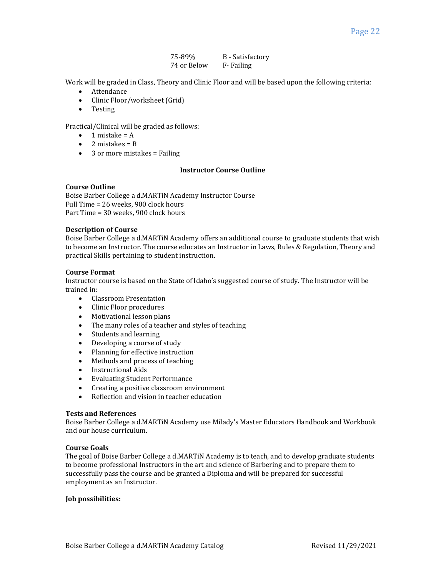#### 75-89% B - Satisfactory 74 or Below F- Failing

Work will be graded in Class, Theory and Clinic Floor and will be based upon the following criteria:

- Attendance
- Clinic Floor/worksheet (Grid)
- Testing

Practical/Clinical will be graded as follows:

- $\bullet$  1 mistake = A
- 2 mistakes = B
- $\bullet$  3 or more mistakes = Failing

# **Instructor Course Outline**

# **Course Outline**

Boise Barber College a d.MARTiN Academy Instructor Course Full Time = 26 weeks, 900 clock hours Part Time = 30 weeks, 900 clock hours

### **Description of Course**

Boise Barber College a d.MARTiN Academy offers an additional course to graduate students that wish to become an Instructor. The course educates an Instructor in Laws, Rules & Regulation, Theory and practical Skills pertaining to student instruction.

### **Course Format**

Instructor course is based on the State of Idaho's suggested course of study. The Instructor will be trained in:

- Classroom Presentation
- Clinic Floor procedures
- Motivational lesson plans
- The many roles of a teacher and styles of teaching
- Students and learning
- Developing a course of study
- Planning for effective instruction
- Methods and process of teaching
- Instructional Aids
- Evaluating Student Performance
- Creating a positive classroom environment
- Reflection and vision in teacher education

# **Tests and References**

Boise Barber College a d.MARTiN Academy use Milady's Master Educators Handbook and Workbook and our house curriculum.

# **Course Goals**

The goal of Boise Barber College a d.MARTiN Academy is to teach, and to develop graduate students to become professional Instructors in the art and science of Barbering and to prepare them to successfully pass the course and be granted a Diploma and will be prepared for successful employment as an Instructor.

# **Job possibilities:**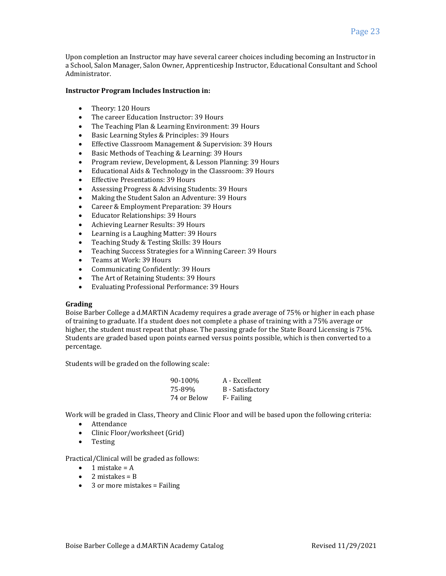Upon completion an Instructor may have several career choices including becoming an Instructor in a School, Salon Manager, Salon Owner, Apprenticeship Instructor, Educational Consultant and School Administrator.

### **Instructor Program Includes Instruction in:**

- Theory: 120 Hours
- The career Education Instructor: 39 Hours
- The Teaching Plan & Learning Environment: 39 Hours
- Basic Learning Styles & Principles: 39 Hours
- Effective Classroom Management & Supervision: 39 Hours
- Basic Methods of Teaching & Learning: 39 Hours
- Program review, Development, & Lesson Planning: 39 Hours
- Educational Aids & Technology in the Classroom: 39 Hours
- Effective Presentations: 39 Hours
- Assessing Progress & Advising Students: 39 Hours
- Making the Student Salon an Adventure: 39 Hours
- Career & Employment Preparation: 39 Hours
- Educator Relationships: 39 Hours
- Achieving Learner Results: 39 Hours
- Learning is a Laughing Matter: 39 Hours
- Teaching Study & Testing Skills: 39 Hours
- Teaching Success Strategies for a Winning Career: 39 Hours
- Teams at Work: 39 Hours
- Communicating Confidently: 39 Hours
- The Art of Retaining Students: 39 Hours
- Evaluating Professional Performance: 39 Hours

# **Grading**

Boise Barber College a d.MARTiN Academy requires a grade average of 75% or higher in each phase of training to graduate. If a student does not complete a phase of training with a 75% average or higher, the student must repeat that phase. The passing grade for the State Board Licensing is 75%. Students are graded based upon points earned versus points possible, which is then converted to a percentage.

Students will be graded on the following scale:

| 90-100%     | A - Excellent           |
|-------------|-------------------------|
| 75-89%      | <b>B</b> - Satisfactory |
| 74 or Below | F-Failing               |

Work will be graded in Class, Theory and Clinic Floor and will be based upon the following criteria:

- Attendance
- Clinic Floor/worksheet (Grid)
- Testing

Practical/Clinical will be graded as follows:

- $\bullet$  1 mistake = A
- $\bullet$  2 mistakes = B
- 3 or more mistakes = Failing